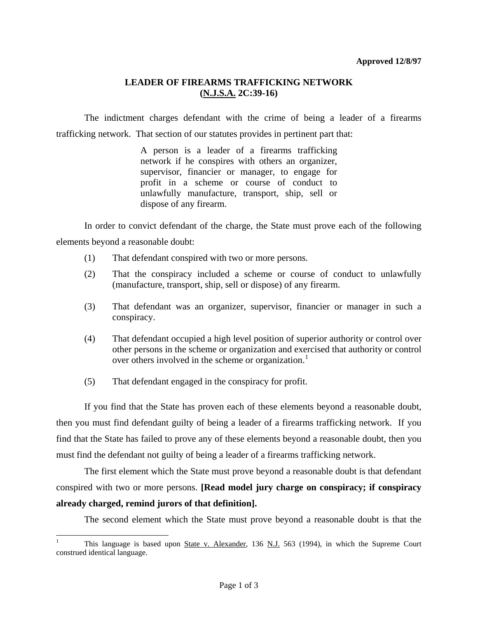## **LEADER OF FIREARMS TRAFFICKING NETWORK (N.J.S.A. 2C:39-16)**

 The indictment charges defendant with the crime of being a leader of a firearms trafficking network. That section of our statutes provides in pertinent part that:

> A person is a leader of a firearms trafficking network if he conspires with others an organizer, supervisor, financier or manager, to engage for profit in a scheme or course of conduct to unlawfully manufacture, transport, ship, sell or dispose of any firearm.

 In order to convict defendant of the charge, the State must prove each of the following elements beyond a reasonable doubt:

- (1) That defendant conspired with two or more persons.
- (2) That the conspiracy included a scheme or course of conduct to unlawfully (manufacture, transport, ship, sell or dispose) of any firearm.
- (3) That defendant was an organizer, supervisor, financier or manager in such a conspiracy.
- (4) That defendant occupied a high level position of superior authority or control over other persons in the scheme or organization and exercised that authority or control over others involved in the scheme or organization.<sup>[1](#page-0-0)</sup>
- (5) That defendant engaged in the conspiracy for profit.

 $\overline{a}$ 

 If you find that the State has proven each of these elements beyond a reasonable doubt, then you must find defendant guilty of being a leader of a firearms trafficking network. If you find that the State has failed to prove any of these elements beyond a reasonable doubt, then you must find the defendant not guilty of being a leader of a firearms trafficking network.

 The first element which the State must prove beyond a reasonable doubt is that defendant conspired with two or more persons. **[Read model jury charge on conspiracy; if conspiracy already charged, remind jurors of that definition].**

The second element which the State must prove beyond a reasonable doubt is that the

<span id="page-0-0"></span><sup>1</sup> This language is based upon State v. Alexander, 136 N.J. 563 (1994), in which the Supreme Court construed identical language.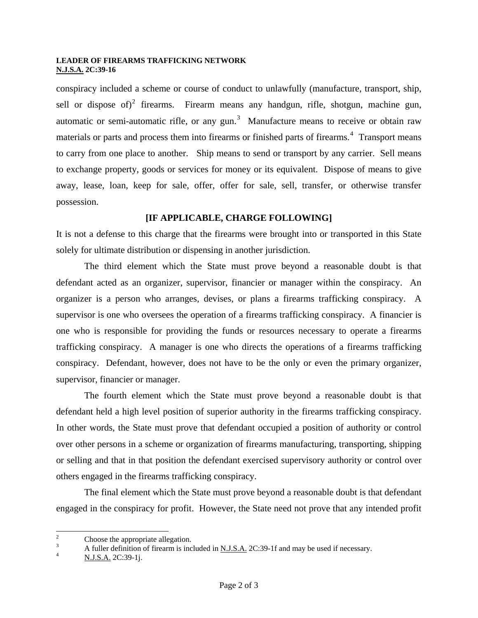### **LEADER OF FIREARMS TRAFFICKING NETWORK N.J.S.A. 2C:39-16**

conspiracy included a scheme or course of conduct to unlawfully (manufacture, transport, ship, sell or dispose of)<sup>[2](#page-1-0)</sup> firearms. Firearm means any handgun, rifle, shotgun, machine gun, automatic or semi-automatic rifle, or any gun.<sup>[3](#page-1-1)</sup> Manufacture means to receive or obtain raw materials or parts and process them into firearms or finished parts of firearms.<sup>[4](#page-1-2)</sup> Transport means to carry from one place to another. Ship means to send or transport by any carrier. Sell means to exchange property, goods or services for money or its equivalent. Dispose of means to give away, lease, loan, keep for sale, offer, offer for sale, sell, transfer, or otherwise transfer possession.

## **[IF APPLICABLE, CHARGE FOLLOWING]**

It is not a defense to this charge that the firearms were brought into or transported in this State solely for ultimate distribution or dispensing in another jurisdiction.

 The third element which the State must prove beyond a reasonable doubt is that defendant acted as an organizer, supervisor, financier or manager within the conspiracy. An organizer is a person who arranges, devises, or plans a firearms trafficking conspiracy. A supervisor is one who oversees the operation of a firearms trafficking conspiracy. A financier is one who is responsible for providing the funds or resources necessary to operate a firearms trafficking conspiracy. A manager is one who directs the operations of a firearms trafficking conspiracy. Defendant, however, does not have to be the only or even the primary organizer, supervisor, financier or manager.

 The fourth element which the State must prove beyond a reasonable doubt is that defendant held a high level position of superior authority in the firearms trafficking conspiracy. In other words, the State must prove that defendant occupied a position of authority or control over other persons in a scheme or organization of firearms manufacturing, transporting, shipping or selling and that in that position the defendant exercised supervisory authority or control over others engaged in the firearms trafficking conspiracy.

 The final element which the State must prove beyond a reasonable doubt is that defendant engaged in the conspiracy for profit. However, the State need not prove that any intended profit

<sup>&</sup>lt;sup>2</sup> Choose the appropriate allegation.

<span id="page-1-1"></span><span id="page-1-0"></span><sup>3</sup> A fuller definition of firearm is included in <u>N.J.S.A.</u> 2C:39-1f and may be used if necessary.

<span id="page-1-2"></span>N.J.S.A. 2C:39-1j.